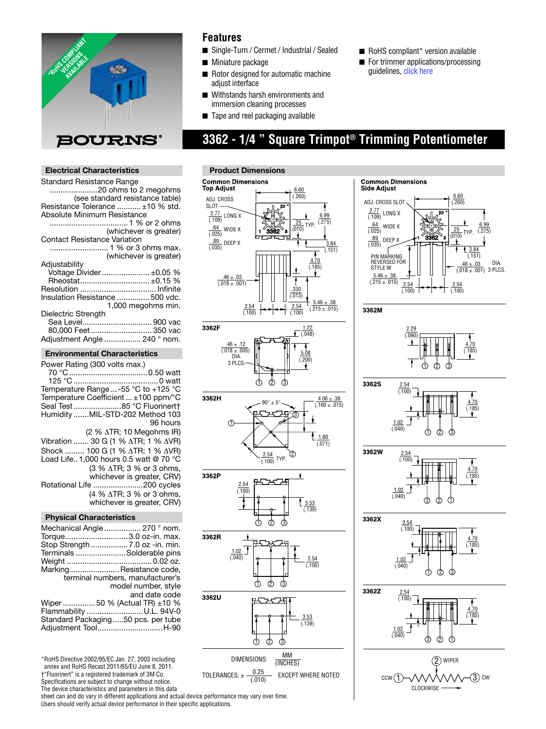

## **Features**

- Single-Turn / Cermet / Industrial / Sealed
- $\blacksquare$  Miniature package
- Rotor designed for automatic machine adjust interface
- Withstands harsh environments and immersion cleaning processes
- Tape and reel packaging available

# **3362 - 1/4 " Square Trimpot® Trimming Potentiometer**

## **Electrical Characteristics**

| <b>Standard Resistance Range</b>    |
|-------------------------------------|
| 20 ohms to 2 megohms                |
| (see standard resistance table)     |
| Resistance Tolerance  ±10 % std.    |
| Absolute Minimum Resistance         |
|                                     |
| (whichever is greater)              |
| <b>Contact Resistance Variation</b> |
|                                     |
| (whichever is greater)              |
| Adjustability                       |
| Voltage Divider ±0.05 %             |
| Rheostat ±0.15 %                    |
|                                     |
|                                     |
| Insulation Resistance  500 vdc.     |
| 1,000 megohms min.                  |
| Dielectric Strength                 |
| Sea Level 900 vac                   |
| 80,000 Feet  350 vac                |
| Adjustment Angle  240 ° nom.        |
|                                     |

## **Environmental Characteristics**

| Power Rating (300 volts max.)                            |
|----------------------------------------------------------|
|                                                          |
| Temperature Range  -55 $^{\circ}$ C to +125 $^{\circ}$ C |
| Temperature Coefficient $\dots \pm 100$ ppm/ $\degree$ C |
| Seal Test85 °C Fluorinert†                               |
| Humidity MIL-STD-202 Method 103                          |
| 96 hours                                                 |
| $(2 % \triangle TR; 10 Megohn S IR)$                     |
| Vibration  30 G (1 % ΔTR; 1 % ΔVR)                       |
| Shock  100 G (1 % ΔTR; 1 % ΔVR)                          |
| Load Life 1,000 hours 0.5 watt @ 70 °C                   |
| (3 % ∆TR; 3 % or 3 ohms,                                 |
| whichever is greater, CRV)                               |
| Rotational Life 200 cycles                               |
| (4 % $\triangle$ TR; 3 % or 3 ohms,                      |
| whichever is greater, CRV)                               |
|                                                          |

## **Physical Characteristics**

| Mechanical Angle  270 ° nom.       |                                  |
|------------------------------------|----------------------------------|
| Torque3.0 oz-in. max.              |                                  |
| Stop Strength  7.0 oz -in. min.    |                                  |
| Terminals Solderable pins          |                                  |
|                                    |                                  |
| Marking Resistance code,           |                                  |
|                                    | terminal numbers, manufacturer's |
|                                    | model number, style              |
|                                    | and date code                    |
| Wiper  50 % (Actual TR) ±10 %      |                                  |
| Flammability U.L. 94V-0            |                                  |
| Standard Packaging50 pcs. per tube |                                  |
| Adjustment ToolH-90                |                                  |

\*RoHS Directive 2002/95/EC Jan. 27, 2003 including annex and RoHS Recast 2011/65/EU June 8, 2011. †"Fluorinert" is a registered trademark of 3M Co.

Specifications are subject to change without notice.

The device characteristics and parameters in this data

sheet can and do vary in different applications and actual device performance may vary over time. Users should verify actual device performance in their specific applications.



















 $\blacksquare$  RoHS compliant\* version available  $\blacksquare$  For trimmer [applications](http://www.bourns.com/data/global/pdfs/ap_proc.pdf)/processing

 guidelines, click here